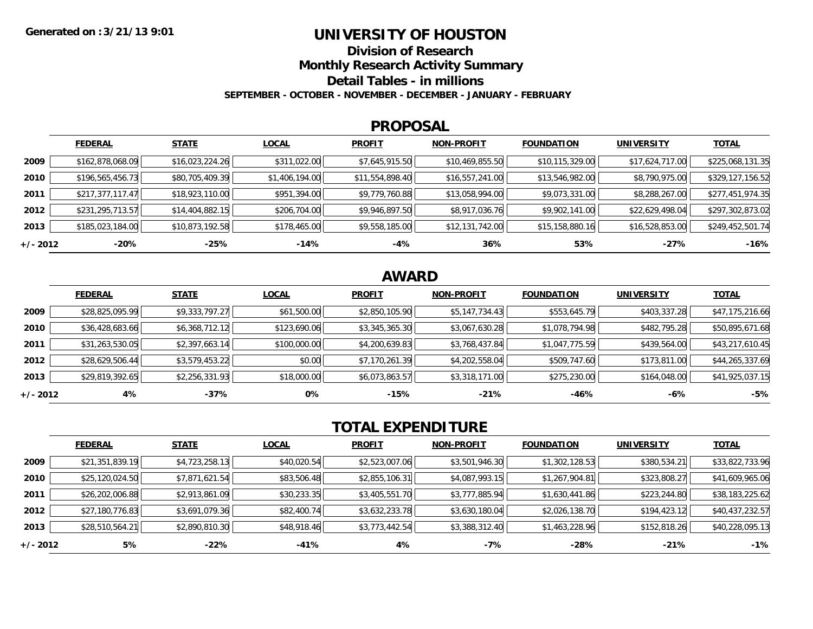### **UNIVERSITY OF HOUSTON**

**Division of Research**

**Monthly Research Activity Summary**

**Detail Tables - in millions**

**SEPTEMBER - OCTOBER - NOVEMBER - DECEMBER - JANUARY - FEBRUARY**

#### **PROPOSAL**

|            | <b>FEDERAL</b>   | <b>STATE</b>    | <b>LOCAL</b>   | <b>PROFIT</b>   | <b>NON-PROFIT</b> | <b>FOUNDATION</b> | <b>UNIVERSITY</b> | <b>TOTAL</b>     |
|------------|------------------|-----------------|----------------|-----------------|-------------------|-------------------|-------------------|------------------|
| 2009       | \$162,878,068.09 | \$16,023,224.26 | \$311,022.00   | \$7,645,915.50  | \$10,469,855.50   | \$10,115,329.00   | \$17,624,717.00   | \$225,068,131.35 |
| 2010       | \$196,565,456.73 | \$80,705,409.39 | \$1,406,194.00 | \$11,554,898.40 | \$16,557,241.00   | \$13,546,982.00   | \$8,790,975.00    | \$329,127,156.52 |
| 2011       | \$217,377,117.47 | \$18,923,110.00 | \$951,394.00   | \$9,779,760.88  | \$13,058,994.00   | \$9,073,331.00    | \$8,288,267.00    | \$277,451,974.35 |
| 2012       | \$231,295,713.57 | \$14,404,882.15 | \$206,704.00   | \$9,946,897.50  | \$8,917,036.76    | \$9,902,141.00    | \$22,629,498.04   | \$297,302,873.02 |
| 2013       | \$185,023,184.00 | \$10,873,192.58 | \$178,465.00   | \$9,558,185.00  | \$12,131,742.00   | \$15,158,880.16   | \$16,528,853.00   | \$249,452,501.74 |
| $+/- 2012$ | $-20%$           | -25%            | $-14%$         | -4%             | 36%               | 53%               | -27%              | $-16%$           |

## **AWARD**

|          | <b>FEDERAL</b>  | <b>STATE</b>   | <b>LOCAL</b> | <b>PROFIT</b>  | <b>NON-PROFIT</b> | <b>FOUNDATION</b> | <b>UNIVERSITY</b> | <u>TOTAL</u>    |
|----------|-----------------|----------------|--------------|----------------|-------------------|-------------------|-------------------|-----------------|
| 2009     | \$28,825,095.99 | \$9,333,797.27 | \$61,500.00  | \$2,850,105.90 | \$5,147,734.43    | \$553,645.79      | \$403,337.28      | \$47,175,216.66 |
| 2010     | \$36,428,683.66 | \$6,368,712.12 | \$123,690.06 | \$3,345,365.30 | \$3,067,630.28    | \$1,078,794.98    | \$482,795.28      | \$50,895,671.68 |
| 2011     | \$31,263,530.05 | \$2,397,663.14 | \$100,000.00 | \$4,200,639.83 | \$3,768,437.84    | \$1,047,775.59    | \$439,564.00      | \$43,217,610.45 |
| 2012     | \$28,629,506.44 | \$3,579,453.22 | \$0.00       | \$7,170,261.39 | \$4,202,558.04    | \$509,747.60      | \$173,811.00      | \$44,265,337.69 |
| 2013     | \$29,819,392.65 | \$2,256,331.93 | \$18,000.00  | \$6,073,863.57 | \$3,318,171.00    | \$275,230.00      | \$164,048.00      | \$41,925,037.15 |
| +/- 2012 | 4%              | -37%           | 0%           | $-15%$         | $-21%$            | -46%              | -6%               | $-5%$           |

# **TOTAL EXPENDITURE**

|          | <b>FEDERAL</b>  | <b>STATE</b>   | <b>LOCAL</b> | <b>PROFIT</b>  | <b>NON-PROFIT</b> | <b>FOUNDATION</b> | <b>UNIVERSITY</b> | <b>TOTAL</b>    |
|----------|-----------------|----------------|--------------|----------------|-------------------|-------------------|-------------------|-----------------|
| 2009     | \$21,351,839.19 | \$4,723,258.13 | \$40,020.54  | \$2,523,007.06 | \$3,501,946.30    | \$1,302,128.53    | \$380,534.21      | \$33,822,733.96 |
| 2010     | \$25,120,024.50 | \$7,871,621.54 | \$83,506.48  | \$2,855,106.31 | \$4,087,993.15    | \$1,267,904.81    | \$323,808.27      | \$41,609,965.06 |
| 2011     | \$26,202,006.88 | \$2,913,861.09 | \$30,233.35  | \$3,405,551.70 | \$3,777,885.94    | \$1,630,441.86    | \$223,244.80      | \$38,183,225.62 |
| 2012     | \$27,180,776.83 | \$3,691,079.36 | \$82,400.74  | \$3,632,233.78 | \$3,630,180.04    | \$2,026,138.70    | \$194,423.12      | \$40,437,232.57 |
| 2013     | \$28,510,564.21 | \$2,890,810.30 | \$48,918.46  | \$3,773,442.54 | \$3,388,312.40    | \$1,463,228.96    | \$152,818.26      | \$40,228,095.13 |
| +/- 2012 | 5%              | $-22%$         | $-41%$       | 4%             | $-7%$             | $-28%$            | $-21%$            | $-1%$           |